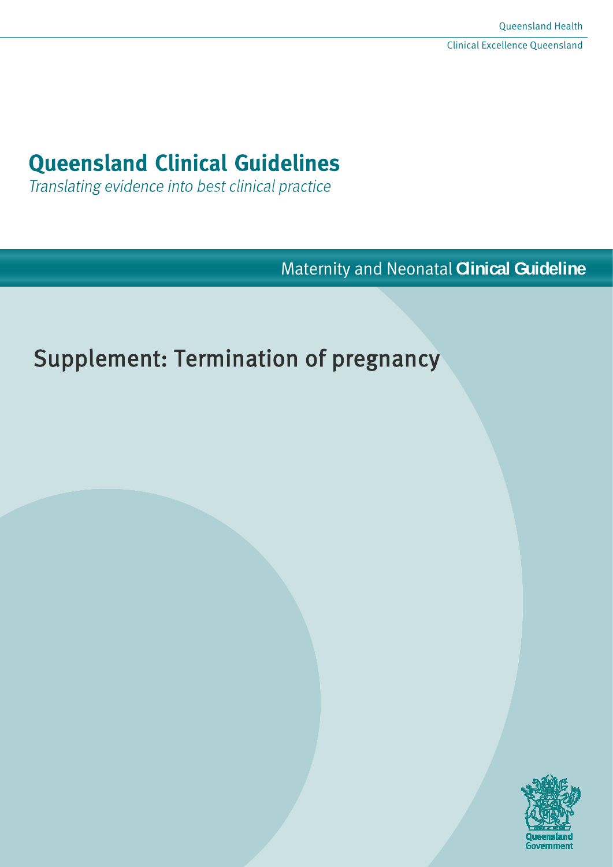# **Queensland Clinical Guidelines**

Translating evidence into best clinical practice

Maternity and Neonatal **Clinical Guideline**

# Supplement: Termination of pregnancy

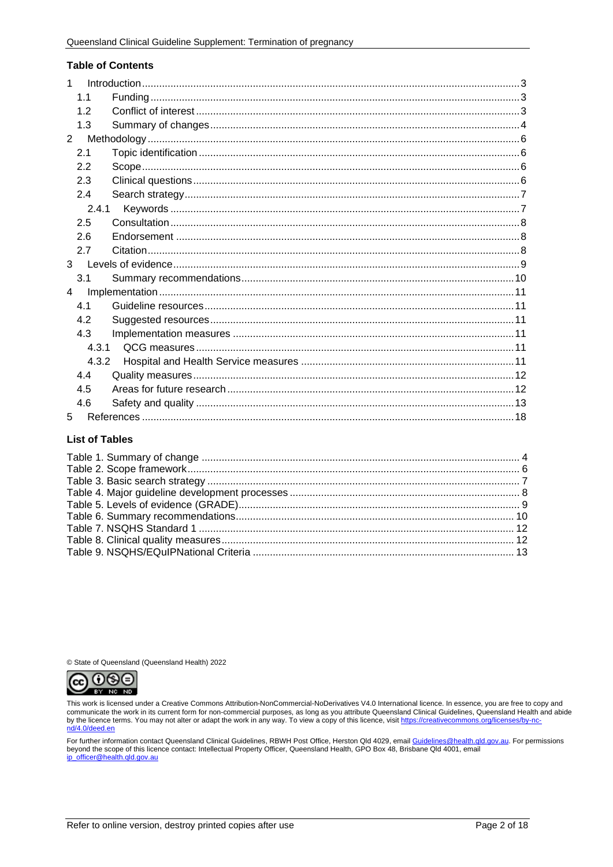#### **Table of Contents**

| 1              |  |
|----------------|--|
| 1.1            |  |
| 1.2            |  |
| 1.3            |  |
| $\overline{2}$ |  |
| 2.1            |  |
| 2.2            |  |
| 2.3            |  |
| 2.4            |  |
| 2.4.1          |  |
| 2.5            |  |
| 2.6            |  |
| 2.7            |  |
| $\mathbf{3}$   |  |
| 3.1            |  |
| 4              |  |
| 4.1            |  |
| 4.2            |  |
| 4.3            |  |
| 4.3.1          |  |
| 4.3.2          |  |
| 4.4            |  |
| 4.5            |  |
| 4.6            |  |
| 5              |  |

#### **List of Tables**

© State of Queensland (Queensland Health) 2022



This work is licensed under a Creative Commons Attribution-NonCommercial-NoDerivatives V4.0 International licence. In essence, you are free to copy and<br>communicate the work in its current form for non-commercial purposes, nd/4.0/deed.en

For further information contact Queensland Clinical Guidelines, RBWH Post Office, Herston Qld 4029, email <u>Guidelines@health.qld.gov.au</u>. For permissions<br>beyond the scope of this licence contact: Intellectual Property Offi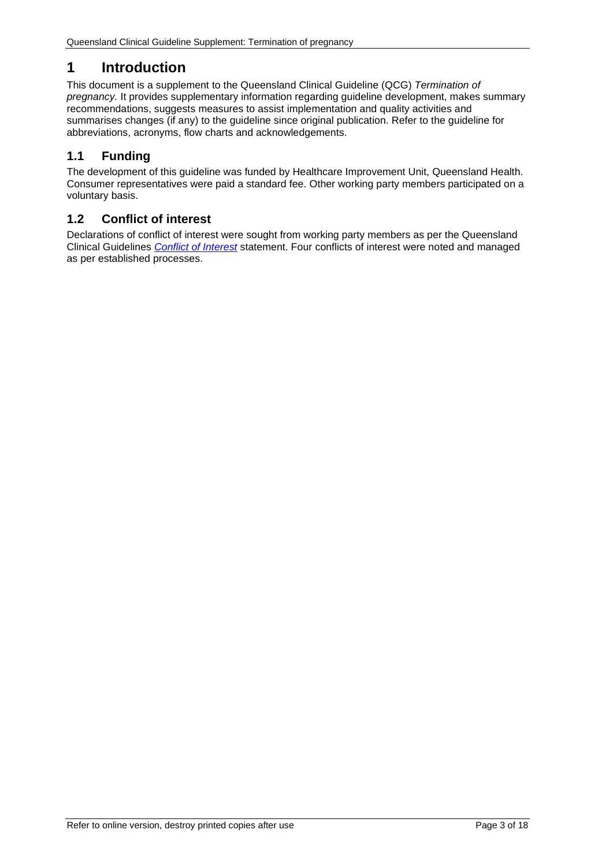# <span id="page-2-0"></span>**1 Introduction**

This document is a supplement to the Queensland Clinical Guideline (QCG) *Termination of pregnancy.* It provides supplementary information regarding guideline development, makes summary recommendations, suggests measures to assist implementation and quality activities and summarises changes (if any) to the guideline since original publication. Refer to the guideline for abbreviations, acronyms, flow charts and acknowledgements.

# <span id="page-2-1"></span>**1.1 Funding**

The development of this guideline was funded by Healthcare Improvement Unit, Queensland Health. Consumer representatives were paid a standard fee. Other working party members participated on a voluntary basis.

# <span id="page-2-2"></span>**1.2 Conflict of interest**

<span id="page-2-3"></span>Declarations of conflict of interest were sought from working party members as per the Queensland Clinical Guidelines *[Conflict of Interest](http://www.health.qld.gov.au/qcg/development#coi)* statement. Four conflicts of interest were noted and managed as per established processes.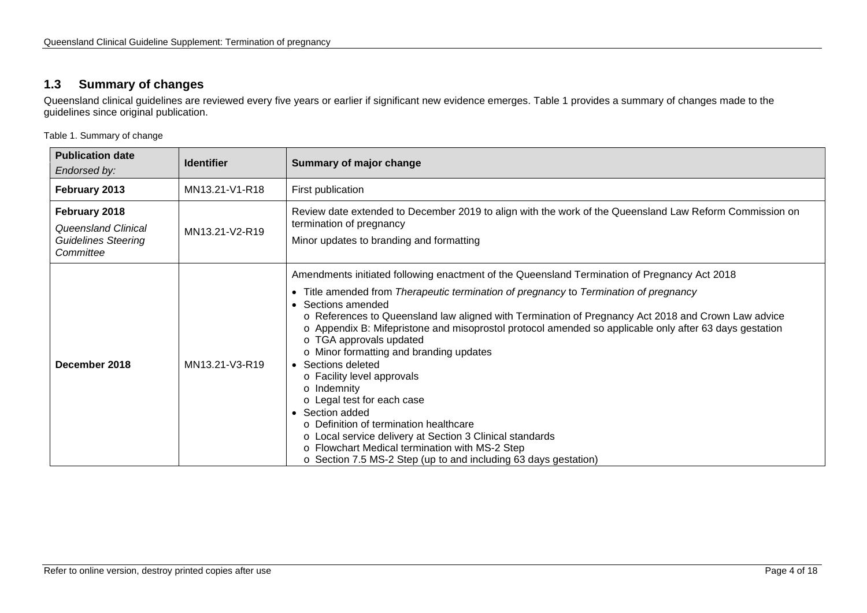# **1.3 Summary of changes**

Queensland clinical guidelines are reviewed every five years or earlier if significant new evidence emerges. [Table 1](#page-3-1) provides a summary of changes made to the guidelines since original publication.

<span id="page-3-1"></span>Table 1. Summary of change

<span id="page-3-0"></span>

| <b>Publication date</b><br>Endorsed by:                                                | <b>Identifier</b> | Summary of major change                                                                                                                                                                                                                                                                                                                                                                                                                                                                                                                                                                                                                                                                                                                                                                                                                          |
|----------------------------------------------------------------------------------------|-------------------|--------------------------------------------------------------------------------------------------------------------------------------------------------------------------------------------------------------------------------------------------------------------------------------------------------------------------------------------------------------------------------------------------------------------------------------------------------------------------------------------------------------------------------------------------------------------------------------------------------------------------------------------------------------------------------------------------------------------------------------------------------------------------------------------------------------------------------------------------|
| February 2013                                                                          | MN13.21-V1-R18    | First publication                                                                                                                                                                                                                                                                                                                                                                                                                                                                                                                                                                                                                                                                                                                                                                                                                                |
| February 2018<br><b>Queensland Clinical</b><br><b>Guidelines Steering</b><br>Committee | MN13.21-V2-R19    | Review date extended to December 2019 to align with the work of the Queensland Law Reform Commission on<br>termination of pregnancy<br>Minor updates to branding and formatting                                                                                                                                                                                                                                                                                                                                                                                                                                                                                                                                                                                                                                                                  |
| December 2018                                                                          | MN13.21-V3-R19    | Amendments initiated following enactment of the Queensland Termination of Pregnancy Act 2018<br>• Title amended from Therapeutic termination of pregnancy to Termination of pregnancy<br>• Sections amended<br>○ References to Queensland law aligned with Termination of Pregnancy Act 2018 and Crown Law advice<br>○ Appendix B: Mifepristone and misoprostol protocol amended so applicable only after 63 days gestation<br>o TGA approvals updated<br>o Minor formatting and branding updates<br>• Sections deleted<br>o Facility level approvals<br>o Indemnity<br>o Legal test for each case<br>• Section added<br>o Definition of termination healthcare<br>o Local service delivery at Section 3 Clinical standards<br>o Flowchart Medical termination with MS-2 Step<br>o Section 7.5 MS-2 Step (up to and including 63 days gestation) |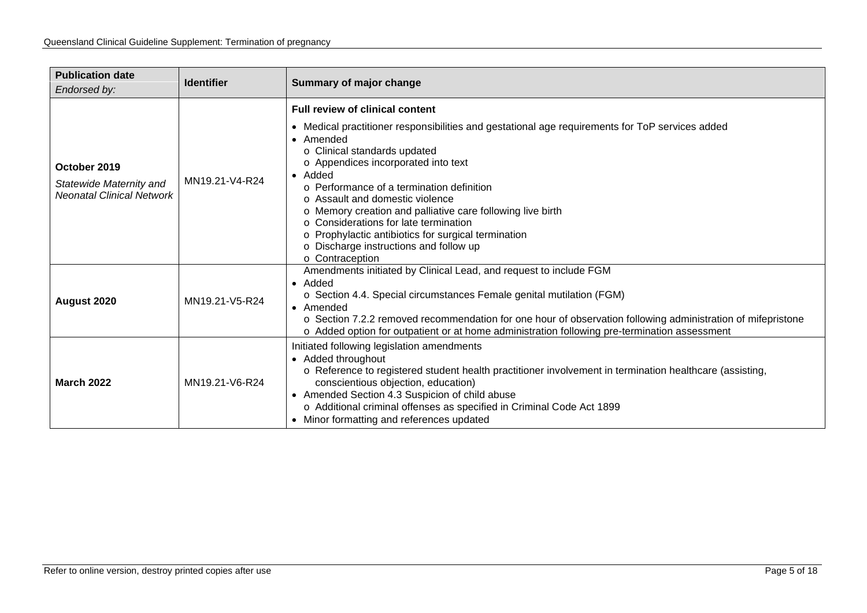| <b>Publication date</b><br>Endorsed by:                                                                                                                                                                                                                                                                                                                                                                                                                                                                                                                 | <b>Identifier</b> | Summary of major change                                                                                                                                                                                                                                                                                                                                                                    |  |  |
|---------------------------------------------------------------------------------------------------------------------------------------------------------------------------------------------------------------------------------------------------------------------------------------------------------------------------------------------------------------------------------------------------------------------------------------------------------------------------------------------------------------------------------------------------------|-------------------|--------------------------------------------------------------------------------------------------------------------------------------------------------------------------------------------------------------------------------------------------------------------------------------------------------------------------------------------------------------------------------------------|--|--|
| <b>Full review of clinical content</b><br>• Amended<br>o Clinical standards updated<br>o Appendices incorporated into text<br>October 2019<br>• Added<br>MN19.21-V4-R24<br>Statewide Maternity and<br>$\circ$ Performance of a termination definition<br><b>Neonatal Clinical Network</b><br>o Assault and domestic violence<br>o Memory creation and palliative care following live birth<br>○ Considerations for late termination<br>o Prophylactic antibiotics for surgical termination<br>o Discharge instructions and follow up<br>o Contraception |                   | • Medical practitioner responsibilities and gestational age requirements for ToP services added                                                                                                                                                                                                                                                                                            |  |  |
| August 2020                                                                                                                                                                                                                                                                                                                                                                                                                                                                                                                                             | MN19.21-V5-R24    | Amendments initiated by Clinical Lead, and request to include FGM<br>$\bullet$ Added<br>o Section 4.4. Special circumstances Female genital mutilation (FGM)<br>• Amended<br>○ Section 7.2.2 removed recommendation for one hour of observation following administration of mifepristone<br>o Added option for outpatient or at home administration following pre-termination assessment   |  |  |
| <b>March 2022</b>                                                                                                                                                                                                                                                                                                                                                                                                                                                                                                                                       | MN19.21-V6-R24    | Initiated following legislation amendments<br>• Added throughout<br>○ Reference to registered student health practitioner involvement in termination healthcare (assisting,<br>conscientious objection, education)<br>• Amended Section 4.3 Suspicion of child abuse<br>o Additional criminal offenses as specified in Criminal Code Act 1899<br>• Minor formatting and references updated |  |  |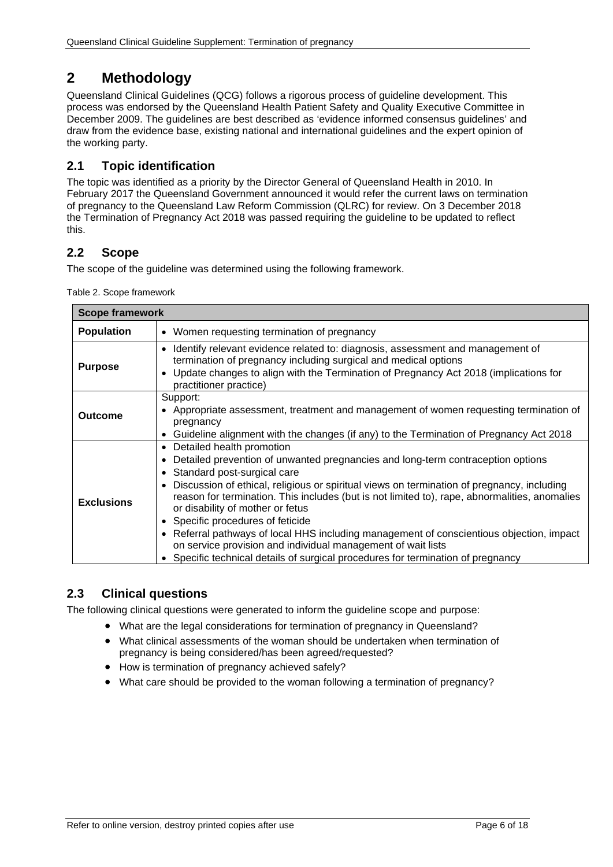# <span id="page-5-0"></span>**2 Methodology**

Queensland Clinical Guidelines (QCG) follows a rigorous process of guideline development. This process was endorsed by the Queensland Health Patient Safety and Quality Executive Committee in December 2009. The guidelines are best described as 'evidence informed consensus guidelines' and draw from the evidence base, existing national and international guidelines and the expert opinion of the working party.

# <span id="page-5-1"></span>**2.1 Topic identification**

The topic was identified as a priority by the Director General of Queensland Health in 2010. In February 2017 the Queensland Government announced it would refer the current laws on termination of pregnancy to the Queensland Law Reform Commission (QLRC) for review. On 3 December 2018 the Termination of Pregnancy Act 2018 was passed requiring the guideline to be updated to reflect this.

# <span id="page-5-2"></span>**2.2 Scope**

<span id="page-5-4"></span>The scope of the guideline was determined using the following framework.

Table 2. Scope framework

| <b>Scope framework</b> |                                                                                                                                                                                                                                                                                                                                                                                                                                                                                                                                                                                                                                                                                             |  |  |
|------------------------|---------------------------------------------------------------------------------------------------------------------------------------------------------------------------------------------------------------------------------------------------------------------------------------------------------------------------------------------------------------------------------------------------------------------------------------------------------------------------------------------------------------------------------------------------------------------------------------------------------------------------------------------------------------------------------------------|--|--|
| <b>Population</b>      | • Women requesting termination of pregnancy                                                                                                                                                                                                                                                                                                                                                                                                                                                                                                                                                                                                                                                 |  |  |
| <b>Purpose</b>         | Identify relevant evidence related to: diagnosis, assessment and management of<br>$\bullet$<br>termination of pregnancy including surgical and medical options<br>Update changes to align with the Termination of Pregnancy Act 2018 (implications for<br>$\bullet$<br>practitioner practice)                                                                                                                                                                                                                                                                                                                                                                                               |  |  |
| Outcome                | Support:<br>• Appropriate assessment, treatment and management of women requesting termination of<br>pregnancy<br>Guideline alignment with the changes (if any) to the Termination of Pregnancy Act 2018                                                                                                                                                                                                                                                                                                                                                                                                                                                                                    |  |  |
| <b>Exclusions</b>      | Detailed health promotion<br>$\bullet$<br>Detailed prevention of unwanted pregnancies and long-term contraception options<br>Standard post-surgical care<br>Discussion of ethical, religious or spiritual views on termination of pregnancy, including<br>$\bullet$<br>reason for termination. This includes (but is not limited to), rape, abnormalities, anomalies<br>or disability of mother or fetus<br>• Specific procedures of feticide<br>• Referral pathways of local HHS including management of conscientious objection, impact<br>on service provision and individual management of wait lists<br>Specific technical details of surgical procedures for termination of pregnancy |  |  |

# <span id="page-5-3"></span>**2.3 Clinical questions**

The following clinical questions were generated to inform the guideline scope and purpose:

- What are the legal considerations for termination of pregnancy in Queensland?
- What clinical assessments of the woman should be undertaken when termination of pregnancy is being considered/has been agreed/requested?
- How is termination of pregnancy achieved safely?
- What care should be provided to the woman following a termination of pregnancy?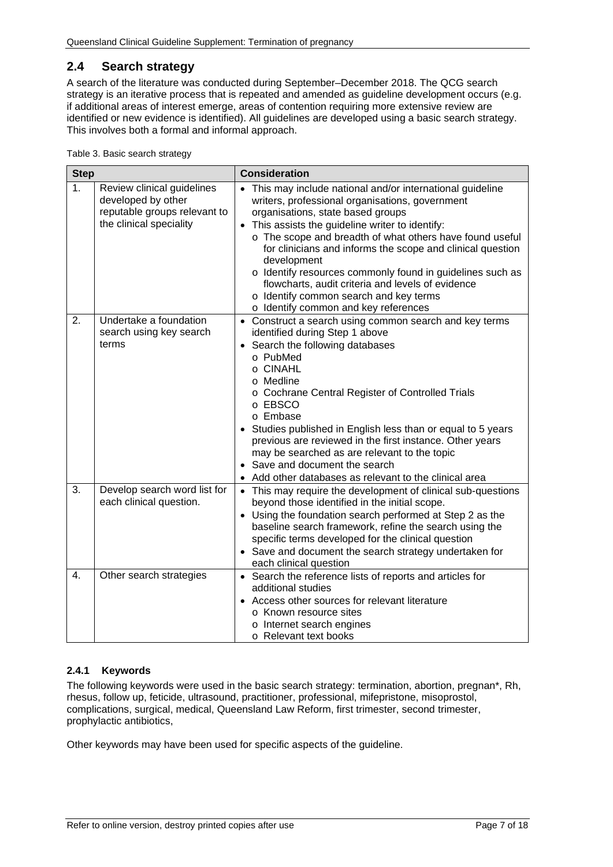# <span id="page-6-0"></span>**2.4 Search strategy**

A search of the literature was conducted during September–December 2018. The QCG search strategy is an iterative process that is repeated and amended as guideline development occurs (e.g. if additional areas of interest emerge, areas of contention requiring more extensive review are identified or new evidence is identified). All guidelines are developed using a basic search strategy. This involves both a formal and informal approach.

<span id="page-6-2"></span>Table 3. Basic search strategy

| <b>Step</b>    |                                                                                                             | <b>Consideration</b>                                                                                                                                                                                                                                                                                                                                                                                                                                                                                                                                |  |  |
|----------------|-------------------------------------------------------------------------------------------------------------|-----------------------------------------------------------------------------------------------------------------------------------------------------------------------------------------------------------------------------------------------------------------------------------------------------------------------------------------------------------------------------------------------------------------------------------------------------------------------------------------------------------------------------------------------------|--|--|
| 1 <sub>1</sub> | Review clinical guidelines<br>developed by other<br>reputable groups relevant to<br>the clinical speciality | • This may include national and/or international guideline<br>writers, professional organisations, government<br>organisations, state based groups<br>• This assists the guideline writer to identify:<br>o The scope and breadth of what others have found useful<br>for clinicians and informs the scope and clinical question<br>development<br>o Identify resources commonly found in guidelines such as<br>flowcharts, audit criteria and levels of evidence<br>o Identify common search and key terms<br>o Identify common and key references |  |  |
| 2.             | Undertake a foundation<br>search using key search<br>terms                                                  | • Construct a search using common search and key terms<br>identified during Step 1 above<br>Search the following databases<br>$\bullet$<br>o PubMed<br>o CINAHL<br>o Medline<br>o Cochrane Central Register of Controlled Trials<br>o EBSCO<br>o Embase<br>Studies published in English less than or equal to 5 years<br>previous are reviewed in the first instance. Other years<br>may be searched as are relevant to the topic<br>• Save and document the search<br>Add other databases as relevant to the clinical area                         |  |  |
| 3.             | Develop search word list for<br>each clinical question.                                                     | • This may require the development of clinical sub-questions<br>beyond those identified in the initial scope.<br>• Using the foundation search performed at Step 2 as the<br>baseline search framework, refine the search using the<br>specific terms developed for the clinical question<br>• Save and document the search strategy undertaken for<br>each clinical question                                                                                                                                                                       |  |  |
| 4.             | Other search strategies                                                                                     | • Search the reference lists of reports and articles for<br>additional studies<br>Access other sources for relevant literature<br>o Known resource sites<br>o Internet search engines<br>o Relevant text books                                                                                                                                                                                                                                                                                                                                      |  |  |

#### <span id="page-6-1"></span>**2.4.1 Keywords**

The following keywords were used in the basic search strategy: termination, abortion, pregnan\*, Rh, rhesus, follow up, feticide, ultrasound, practitioner, professional, mifepristone, misoprostol, complications, surgical, medical, Queensland Law Reform, first trimester, second trimester, prophylactic antibiotics,

Other keywords may have been used for specific aspects of the guideline.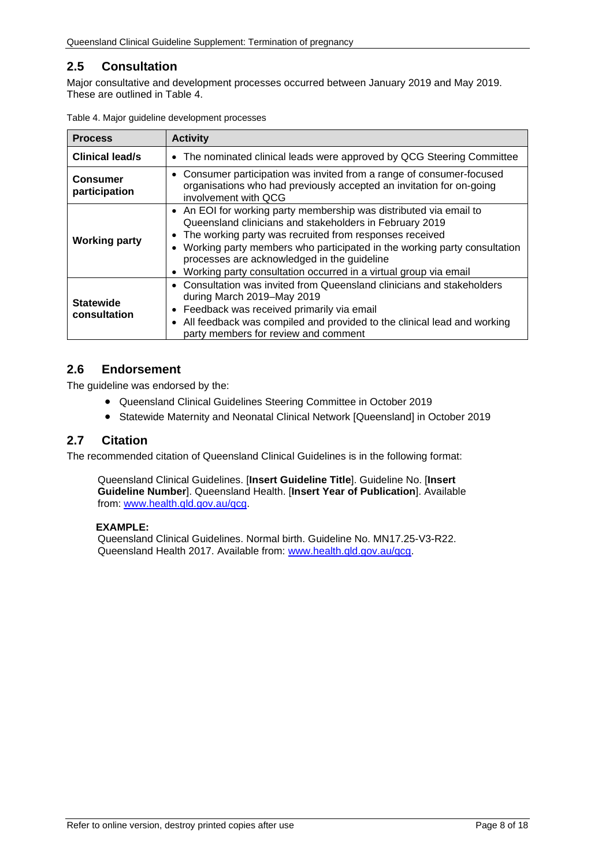# <span id="page-7-0"></span>**2.5 Consultation**

Major consultative and development processes occurred between January 2019 and May 2019. These are outlined in [Table 4.](#page-7-3)

| <b>Process</b>                   | <b>Activity</b>                                                                                                                                                                                                                                                                                                                                                                                                   |  |  |
|----------------------------------|-------------------------------------------------------------------------------------------------------------------------------------------------------------------------------------------------------------------------------------------------------------------------------------------------------------------------------------------------------------------------------------------------------------------|--|--|
| <b>Clinical lead/s</b>           | • The nominated clinical leads were approved by QCG Steering Committee                                                                                                                                                                                                                                                                                                                                            |  |  |
| <b>Consumer</b><br>participation | • Consumer participation was invited from a range of consumer-focused<br>organisations who had previously accepted an invitation for on-going<br>involvement with OCG                                                                                                                                                                                                                                             |  |  |
| <b>Working party</b>             | • An EOI for working party membership was distributed via email to<br>Queensland clinicians and stakeholders in February 2019<br>The working party was recruited from responses received<br>Working party members who participated in the working party consultation<br>$\bullet$<br>processes are acknowledged in the guideline<br>Working party consultation occurred in a virtual group via email<br>$\bullet$ |  |  |
| <b>Statewide</b><br>consultation | • Consultation was invited from Queensland clinicians and stakeholders<br>during March 2019–May 2019<br>Feedback was received primarily via email<br>All feedback was compiled and provided to the clinical lead and working<br>$\bullet$<br>party members for review and comment                                                                                                                                 |  |  |

<span id="page-7-3"></span>

|  |  |  |  | Table 4. Major guideline development processes |  |
|--|--|--|--|------------------------------------------------|--|
|--|--|--|--|------------------------------------------------|--|

## <span id="page-7-1"></span>**2.6 Endorsement**

The guideline was endorsed by the:

- Queensland Clinical Guidelines Steering Committee in October 2019
- Statewide Maternity and Neonatal Clinical Network [Queensland] in October 2019

#### <span id="page-7-2"></span>**2.7 Citation**

The recommended citation of Queensland Clinical Guidelines is in the following format:

Queensland Clinical Guidelines. [**Insert Guideline Title**]. Guideline No. [**Insert Guideline Number**]. Queensland Health. [**Insert Year of Publication**]. Available from: [www.health.qld.gov.au/qcg.](http://www.health.qld.gov.au/qcg)

#### **EXAMPLE:**

Queensland Clinical Guidelines. Normal birth. Guideline No. MN17.25-V3-R22. Queensland Health 2017. Available from: [www.health.qld.gov.au/qcg.](http://www.health.qld.gov.au/qcg)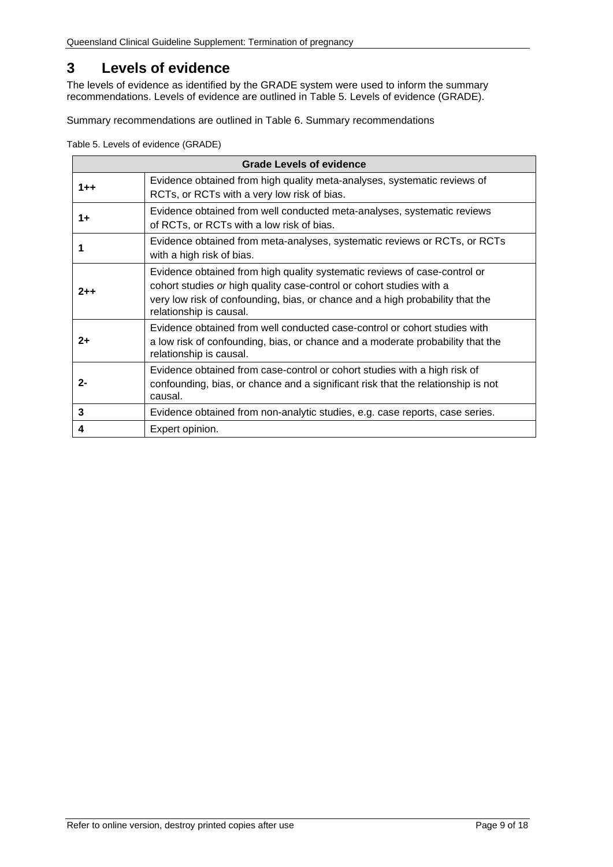# <span id="page-8-0"></span>**3 Levels of evidence**

The levels of evidence as identified by the GRADE system were used to inform the summary recommendations. Levels of evidence are outlined in [Table 5. Levels of evidence \(GRADE\).](#page-8-1)

Summary recommendations are outlined in [Table 6. Summary recommendations](#page-9-1)

<span id="page-8-1"></span>Table 5. Levels of evidence (GRADE)

|         | <b>Grade Levels of evidence</b>                                                                                                                                                                                                                               |  |  |
|---------|---------------------------------------------------------------------------------------------------------------------------------------------------------------------------------------------------------------------------------------------------------------|--|--|
| $1 + +$ | Evidence obtained from high quality meta-analyses, systematic reviews of<br>RCTs, or RCTs with a very low risk of bias.                                                                                                                                       |  |  |
| $1+$    | Evidence obtained from well conducted meta-analyses, systematic reviews<br>of RCTs, or RCTs with a low risk of bias.                                                                                                                                          |  |  |
|         | Evidence obtained from meta-analyses, systematic reviews or RCTs, or RCTs<br>with a high risk of bias.                                                                                                                                                        |  |  |
| $2 + +$ | Evidence obtained from high quality systematic reviews of case-control or<br>cohort studies or high quality case-control or cohort studies with a<br>very low risk of confounding, bias, or chance and a high probability that the<br>relationship is causal. |  |  |
| $2+$    | Evidence obtained from well conducted case-control or cohort studies with<br>a low risk of confounding, bias, or chance and a moderate probability that the<br>relationship is causal.                                                                        |  |  |
| $2 -$   | Evidence obtained from case-control or cohort studies with a high risk of<br>confounding, bias, or chance and a significant risk that the relationship is not<br>causal.                                                                                      |  |  |
| 3       | Evidence obtained from non-analytic studies, e.g. case reports, case series.                                                                                                                                                                                  |  |  |
| 4       | Expert opinion.                                                                                                                                                                                                                                               |  |  |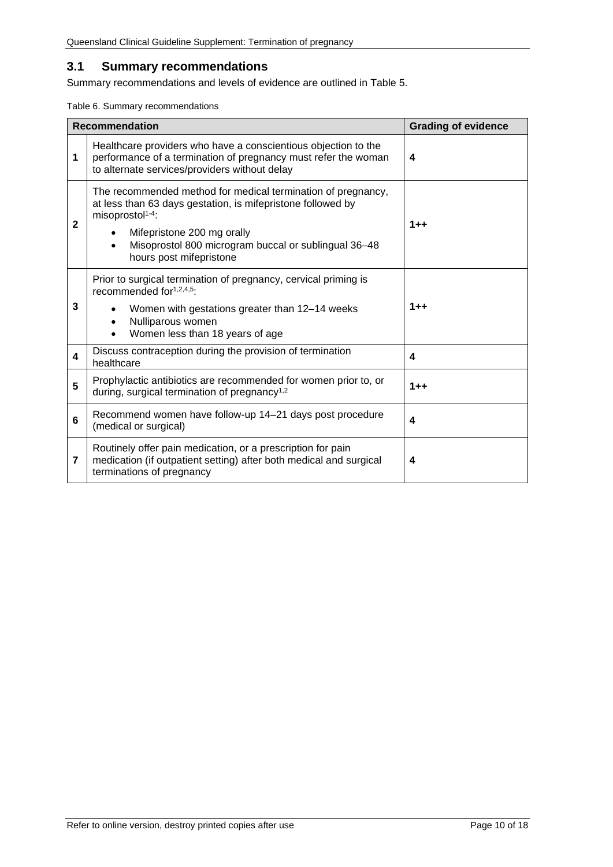## <span id="page-9-0"></span>**3.1 Summary recommendations**

Summary recommendations and levels of evidence are outlined in Table 5.

<span id="page-9-1"></span>Table 6. Summary recommendations

| <b>Recommendation</b> |                                                                                                                                                                                                                                                                                           | <b>Grading of evidence</b> |
|-----------------------|-------------------------------------------------------------------------------------------------------------------------------------------------------------------------------------------------------------------------------------------------------------------------------------------|----------------------------|
| 1                     | Healthcare providers who have a conscientious objection to the<br>performance of a termination of pregnancy must refer the woman<br>to alternate services/providers without delay                                                                                                         | 4                          |
| $\mathbf{2}$          | The recommended method for medical termination of pregnancy,<br>at less than 63 days gestation, is mifepristone followed by<br>misoprostol <sup>1-4</sup> :<br>Mifepristone 200 mg orally<br>Misoprostol 800 microgram buccal or sublingual 36-48<br>$\bullet$<br>hours post mifepristone | $1 + +$                    |
| 3                     | Prior to surgical termination of pregnancy, cervical priming is<br>recommended for <sup>1,2,4,5</sup> :<br>Women with gestations greater than 12-14 weeks<br>Nulliparous women<br>$\bullet$<br>Women less than 18 years of age                                                            | $1 + +$                    |
| 4                     | Discuss contraception during the provision of termination<br>healthcare                                                                                                                                                                                                                   | 4                          |
| 5                     | Prophylactic antibiotics are recommended for women prior to, or<br>during, surgical termination of pregnancy <sup>1,2</sup>                                                                                                                                                               | $1 + +$                    |
| 6                     | Recommend women have follow-up 14-21 days post procedure<br>(medical or surgical)                                                                                                                                                                                                         | 4                          |
| 7                     | Routinely offer pain medication, or a prescription for pain<br>medication (if outpatient setting) after both medical and surgical<br>terminations of pregnancy                                                                                                                            | 4                          |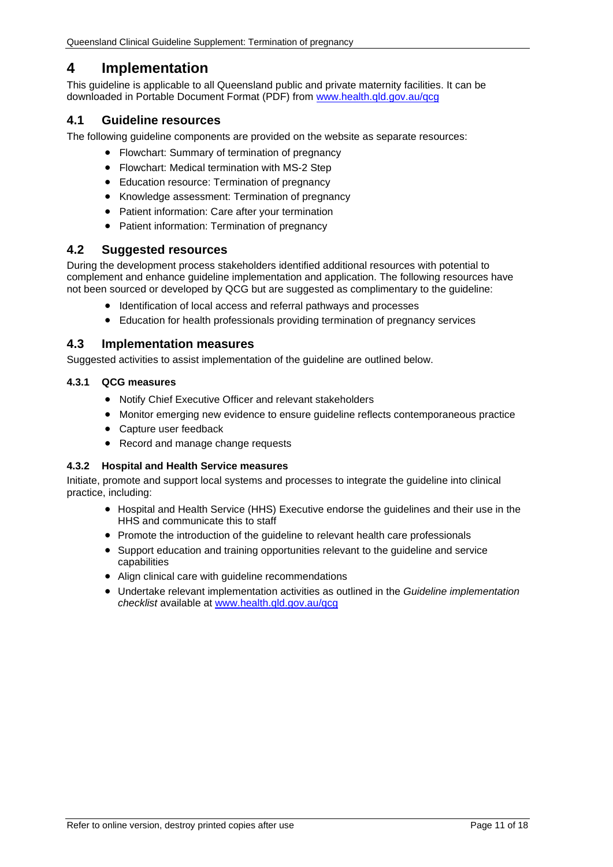# <span id="page-10-0"></span>**4 Implementation**

This guideline is applicable to all Queensland public and private maternity facilities. It can be downloaded in Portable Document Format (PDF) from [www.health.qld.gov.au/qcg](http://www.health.qld.gov.au/qcg)

## <span id="page-10-1"></span>**4.1 Guideline resources**

The following guideline components are provided on the website as separate resources:

- Flowchart: Summary of termination of pregnancy
- Flowchart: Medical termination with MS-2 Step
- Education resource: Termination of pregnancy
- Knowledge assessment: Termination of pregnancy
- Patient information: Care after your termination
- Patient information: Termination of pregnancy

#### <span id="page-10-2"></span>**4.2 Suggested resources**

During the development process stakeholders identified additional resources with potential to complement and enhance guideline implementation and application. The following resources have not been sourced or developed by QCG but are suggested as complimentary to the guideline:

- Identification of local access and referral pathways and processes
- Education for health professionals providing termination of pregnancy services

#### <span id="page-10-3"></span>**4.3 Implementation measures**

<span id="page-10-4"></span>Suggested activities to assist implementation of the guideline are outlined below.

#### **4.3.1 QCG measures**

- Notify Chief Executive Officer and relevant stakeholders
- Monitor emerging new evidence to ensure guideline reflects contemporaneous practice
- Capture user feedback
- Record and manage change requests

#### <span id="page-10-5"></span>**4.3.2 Hospital and Health Service measures**

Initiate, promote and support local systems and processes to integrate the guideline into clinical practice, including:

- Hospital and Health Service (HHS) Executive endorse the guidelines and their use in the HHS and communicate this to staff
- Promote the introduction of the guideline to relevant health care professionals
- Support education and training opportunities relevant to the guideline and service capabilities
- Align clinical care with guideline recommendations
- Undertake relevant implementation activities as outlined in the *Guideline implementation checklist* available at [www.health.qld.gov.au/qcg](http://www.health.qld.gov.au/qcg)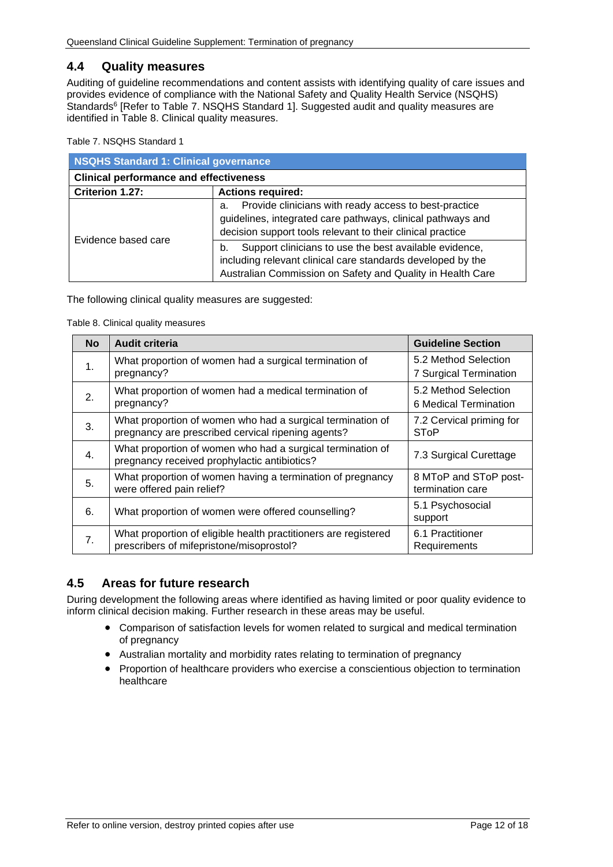## <span id="page-11-0"></span>**4.4 Quality measures**

Auditing of guideline recommendations and content assists with identifying quality of care issues and provides evidence of compliance with the National Safety and Quality Health Service (NSQHS) Standards<sup>6</sup> [Refer to Table 7. [NSQHS Standard 1\]](#page-11-2). Suggested audit and quality measures are identified in [Table 8. Clinical quality measures.](#page-11-3)

<span id="page-11-2"></span>Table 7. NSQHS Standard 1

| <b>NSQHS Standard 1: Clinical governance</b>  |                                                                                                                                                                                           |  |  |
|-----------------------------------------------|-------------------------------------------------------------------------------------------------------------------------------------------------------------------------------------------|--|--|
| <b>Clinical performance and effectiveness</b> |                                                                                                                                                                                           |  |  |
| Criterion 1.27:                               | <b>Actions required:</b>                                                                                                                                                                  |  |  |
|                                               | Provide clinicians with ready access to best-practice<br>а.<br>guidelines, integrated care pathways, clinical pathways and<br>decision support tools relevant to their clinical practice  |  |  |
| Evidence based care                           | Support clinicians to use the best available evidence,<br>b.<br>including relevant clinical care standards developed by the<br>Australian Commission on Safety and Quality in Health Care |  |  |

<span id="page-11-3"></span>The following clinical quality measures are suggested:

Table 8. Clinical quality measures

| <b>No</b>      | <b>Audit criteria</b>                                                                                            | <b>Guideline Section</b>                       |
|----------------|------------------------------------------------------------------------------------------------------------------|------------------------------------------------|
| 1.             | What proportion of women had a surgical termination of<br>pregnancy?                                             | 5.2 Method Selection<br>7 Surgical Termination |
| 2.             | What proportion of women had a medical termination of<br>pregnancy?                                              | 5.2 Method Selection<br>6 Medical Termination  |
| 3.             | What proportion of women who had a surgical termination of<br>pregnancy are prescribed cervical ripening agents? | 7.2 Cervical priming for<br>SToP               |
| 4.             | What proportion of women who had a surgical termination of<br>pregnancy received prophylactic antibiotics?       | 7.3 Surgical Curettage                         |
| 5.             | What proportion of women having a termination of pregnancy<br>were offered pain relief?                          | 8 MToP and SToP post-<br>termination care      |
| 6.             | What proportion of women were offered counselling?                                                               | 5.1 Psychosocial<br>support                    |
| 7 <sub>1</sub> | What proportion of eligible health practitioners are registered<br>prescribers of mifepristone/misoprostol?      | 6.1 Practitioner<br>Requirements               |

# <span id="page-11-1"></span>**4.5 Areas for future research**

During development the following areas where identified as having limited or poor quality evidence to inform clinical decision making. Further research in these areas may be useful.

- Comparison of satisfaction levels for women related to surgical and medical termination of pregnancy
- Australian mortality and morbidity rates relating to termination of pregnancy
- Proportion of healthcare providers who exercise a conscientious objection to termination healthcare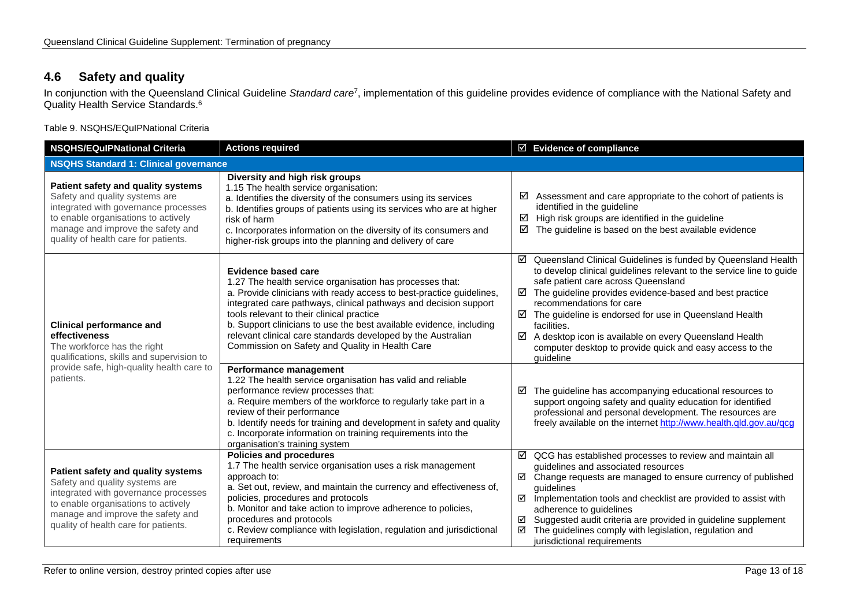# **4.6 Safety and quality**

In conjunction with the Queensland Clinical Guideline *Standard care*7, implementation of this guideline provides evidence of compliance with the National Safety and Quality Health Service Standards. 6

Table 9. NSQHS/EQuIPNational Criteria

<span id="page-12-1"></span><span id="page-12-0"></span>

| <b>NSQHS/EQuIPNational Criteria</b>                                                                                                                                                                                              | <b>Actions required</b>                                                                                                                                                                                                                                                                                                                                                                                                                                                   | $\boxtimes$ Evidence of compliance                                                                                                                                                                                                                                                                                                                                                                                                                                                                      |  |  |
|----------------------------------------------------------------------------------------------------------------------------------------------------------------------------------------------------------------------------------|---------------------------------------------------------------------------------------------------------------------------------------------------------------------------------------------------------------------------------------------------------------------------------------------------------------------------------------------------------------------------------------------------------------------------------------------------------------------------|---------------------------------------------------------------------------------------------------------------------------------------------------------------------------------------------------------------------------------------------------------------------------------------------------------------------------------------------------------------------------------------------------------------------------------------------------------------------------------------------------------|--|--|
| <b>NSQHS Standard 1: Clinical governance</b>                                                                                                                                                                                     |                                                                                                                                                                                                                                                                                                                                                                                                                                                                           |                                                                                                                                                                                                                                                                                                                                                                                                                                                                                                         |  |  |
| Patient safety and quality systems<br>Safety and quality systems are<br>integrated with governance processes<br>to enable organisations to actively<br>manage and improve the safety and<br>quality of health care for patients. | Diversity and high risk groups<br>1.15 The health service organisation:<br>a. Identifies the diversity of the consumers using its services<br>b. Identifies groups of patients using its services who are at higher<br>risk of harm<br>c. Incorporates information on the diversity of its consumers and<br>higher-risk groups into the planning and delivery of care                                                                                                     | Assessment and care appropriate to the cohort of patients is<br>☑<br>identified in the guideline<br>☑<br>High risk groups are identified in the guideline<br>☑<br>The guideline is based on the best available evidence                                                                                                                                                                                                                                                                                 |  |  |
| <b>Clinical performance and</b><br>effectiveness<br>The workforce has the right<br>qualifications, skills and supervision to<br>provide safe, high-quality health care to<br>patients.                                           | <b>Evidence based care</b><br>1.27 The health service organisation has processes that:<br>a. Provide clinicians with ready access to best-practice guidelines,<br>integrated care pathways, clinical pathways and decision support<br>tools relevant to their clinical practice<br>b. Support clinicians to use the best available evidence, including<br>relevant clinical care standards developed by the Australian<br>Commission on Safety and Quality in Health Care | ☑ Queensland Clinical Guidelines is funded by Queensland Health<br>to develop clinical guidelines relevant to the service line to guide<br>safe patient care across Queensland<br>The guideline provides evidence-based and best practice<br>☑<br>recommendations for care<br>$\boxtimes$ The guideline is endorsed for use in Queensland Health<br>facilities.<br>A desktop icon is available on every Queensland Health<br>☑<br>computer desktop to provide quick and easy access to the<br>quideline |  |  |
|                                                                                                                                                                                                                                  | Performance management<br>1.22 The health service organisation has valid and reliable<br>performance review processes that:<br>a. Require members of the workforce to regularly take part in a<br>review of their performance<br>b. Identify needs for training and development in safety and quality<br>c. Incorporate information on training requirements into the<br>organisation's training system                                                                   | $\boxtimes$ The guideline has accompanying educational resources to<br>support ongoing safety and quality education for identified<br>professional and personal development. The resources are<br>freely available on the internet http://www.health.qld.gov.au/qcg                                                                                                                                                                                                                                     |  |  |
| Patient safety and quality systems<br>Safety and quality systems are<br>integrated with governance processes<br>to enable organisations to actively<br>manage and improve the safety and<br>quality of health care for patients. | Policies and procedures<br>1.7 The health service organisation uses a risk management<br>approach to:<br>a. Set out, review, and maintain the currency and effectiveness of,<br>policies, procedures and protocols<br>b. Monitor and take action to improve adherence to policies,<br>procedures and protocols<br>c. Review compliance with legislation, regulation and jurisdictional<br>requirements                                                                    | $\boxtimes$ QCG has established processes to review and maintain all<br>guidelines and associated resources<br>☑ Change requests are managed to ensure currency of published<br>quidelines<br>☑<br>Implementation tools and checklist are provided to assist with<br>adherence to guidelines<br>Suggested audit criteria are provided in guideline supplement<br>☑<br>☑<br>The guidelines comply with legislation, regulation and<br>jurisdictional requirements                                        |  |  |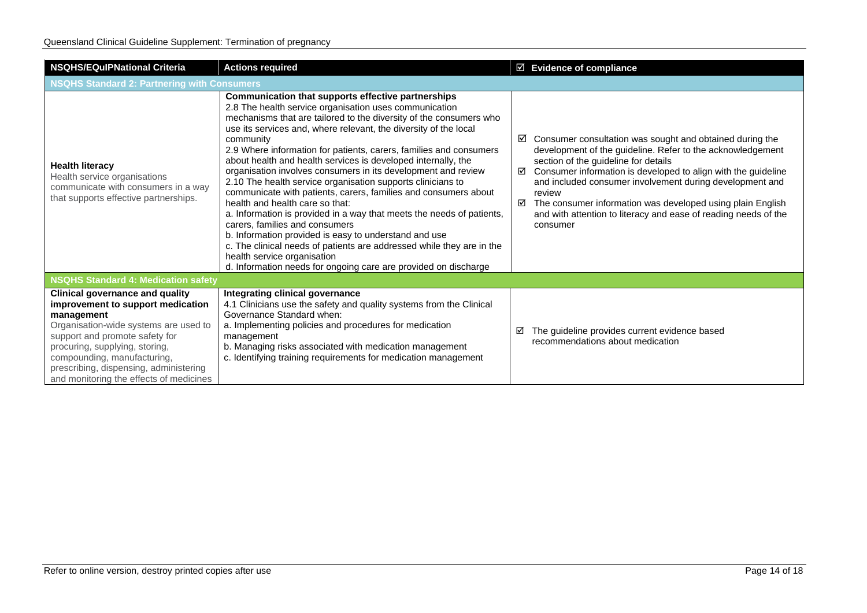| <b>NSQHS/EQulPNational Criteria</b>                                                                                                                                                                                                                                                                                        | <b>Actions required</b>                                                                                                                                                                                                                                                                                                                                                                                                                                                                                                                                                                                                                                                                                                                                                                                                                                                                                                                                                                                | $\boxtimes$ Evidence of compliance                                                                                                                                                                                                                                                                                                                                                                                                                                       |  |  |
|----------------------------------------------------------------------------------------------------------------------------------------------------------------------------------------------------------------------------------------------------------------------------------------------------------------------------|--------------------------------------------------------------------------------------------------------------------------------------------------------------------------------------------------------------------------------------------------------------------------------------------------------------------------------------------------------------------------------------------------------------------------------------------------------------------------------------------------------------------------------------------------------------------------------------------------------------------------------------------------------------------------------------------------------------------------------------------------------------------------------------------------------------------------------------------------------------------------------------------------------------------------------------------------------------------------------------------------------|--------------------------------------------------------------------------------------------------------------------------------------------------------------------------------------------------------------------------------------------------------------------------------------------------------------------------------------------------------------------------------------------------------------------------------------------------------------------------|--|--|
| <b>NSQHS Standard 2: Partnering with Consumers</b>                                                                                                                                                                                                                                                                         |                                                                                                                                                                                                                                                                                                                                                                                                                                                                                                                                                                                                                                                                                                                                                                                                                                                                                                                                                                                                        |                                                                                                                                                                                                                                                                                                                                                                                                                                                                          |  |  |
| <b>Health literacy</b><br>Health service organisations<br>communicate with consumers in a way<br>that supports effective partnerships.                                                                                                                                                                                     | <b>Communication that supports effective partnerships</b><br>2.8 The health service organisation uses communication<br>mechanisms that are tailored to the diversity of the consumers who<br>use its services and, where relevant, the diversity of the local<br>community<br>2.9 Where information for patients, carers, families and consumers<br>about health and health services is developed internally, the<br>organisation involves consumers in its development and review<br>2.10 The health service organisation supports clinicians to<br>communicate with patients, carers, families and consumers about<br>health and health care so that:<br>a. Information is provided in a way that meets the needs of patients,<br>carers, families and consumers<br>b. Information provided is easy to understand and use<br>c. The clinical needs of patients are addressed while they are in the<br>health service organisation<br>d. Information needs for ongoing care are provided on discharge | $\boxtimes$ Consumer consultation was sought and obtained during the<br>development of the guideline. Refer to the acknowledgement<br>section of the guideline for details<br>Consumer information is developed to align with the guideline<br>☑<br>and included consumer involvement during development and<br>review<br>The consumer information was developed using plain English<br>☑<br>and with attention to literacy and ease of reading needs of the<br>consumer |  |  |
| <b>NSQHS Standard 4: Medication safety</b>                                                                                                                                                                                                                                                                                 |                                                                                                                                                                                                                                                                                                                                                                                                                                                                                                                                                                                                                                                                                                                                                                                                                                                                                                                                                                                                        |                                                                                                                                                                                                                                                                                                                                                                                                                                                                          |  |  |
| <b>Clinical governance and quality</b><br>improvement to support medication<br>management<br>Organisation-wide systems are used to<br>support and promote safety for<br>procuring, supplying, storing,<br>compounding, manufacturing,<br>prescribing, dispensing, administering<br>and monitoring the effects of medicines | Integrating clinical governance<br>4.1 Clinicians use the safety and quality systems from the Clinical<br>Governance Standard when:<br>a. Implementing policies and procedures for medication<br>management<br>b. Managing risks associated with medication management<br>c. Identifying training requirements for medication management                                                                                                                                                                                                                                                                                                                                                                                                                                                                                                                                                                                                                                                               | The guideline provides current evidence based<br>☑<br>recommendations about medication                                                                                                                                                                                                                                                                                                                                                                                   |  |  |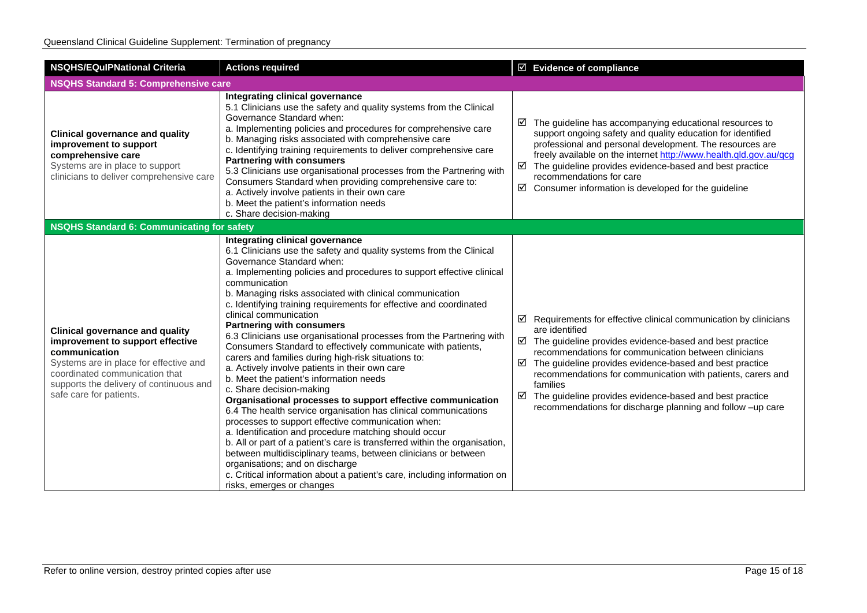| <b>NSQHS/EQuIPNational Criteria</b>                                                                                                                                                                                                           | <b>Actions required</b>                                                                                                                                                                                                                                                                                                                                                                                                                                                                                                                                                                                                                                                                                                                                                                                                                                                                                                                                                                                                                                                                                                                                                                                                                                                                            | $\boxtimes$ Evidence of compliance                                                                                                                                                                                                                                                                                                                                                                                                                                                                    |  |  |
|-----------------------------------------------------------------------------------------------------------------------------------------------------------------------------------------------------------------------------------------------|----------------------------------------------------------------------------------------------------------------------------------------------------------------------------------------------------------------------------------------------------------------------------------------------------------------------------------------------------------------------------------------------------------------------------------------------------------------------------------------------------------------------------------------------------------------------------------------------------------------------------------------------------------------------------------------------------------------------------------------------------------------------------------------------------------------------------------------------------------------------------------------------------------------------------------------------------------------------------------------------------------------------------------------------------------------------------------------------------------------------------------------------------------------------------------------------------------------------------------------------------------------------------------------------------|-------------------------------------------------------------------------------------------------------------------------------------------------------------------------------------------------------------------------------------------------------------------------------------------------------------------------------------------------------------------------------------------------------------------------------------------------------------------------------------------------------|--|--|
| <b>NSQHS Standard 5: Comprehensive care</b>                                                                                                                                                                                                   |                                                                                                                                                                                                                                                                                                                                                                                                                                                                                                                                                                                                                                                                                                                                                                                                                                                                                                                                                                                                                                                                                                                                                                                                                                                                                                    |                                                                                                                                                                                                                                                                                                                                                                                                                                                                                                       |  |  |
| <b>Clinical governance and quality</b><br>improvement to support<br>comprehensive care<br>Systems are in place to support<br>clinicians to deliver comprehensive care                                                                         | Integrating clinical governance<br>5.1 Clinicians use the safety and quality systems from the Clinical<br>Governance Standard when:<br>a. Implementing policies and procedures for comprehensive care<br>b. Managing risks associated with comprehensive care<br>c. Identifying training requirements to deliver comprehensive care<br><b>Partnering with consumers</b><br>5.3 Clinicians use organisational processes from the Partnering with<br>Consumers Standard when providing comprehensive care to:<br>a. Actively involve patients in their own care<br>b. Meet the patient's information needs<br>c. Share decision-making                                                                                                                                                                                                                                                                                                                                                                                                                                                                                                                                                                                                                                                               | $\boxtimes$ The guideline has accompanying educational resources to<br>support ongoing safety and quality education for identified<br>professional and personal development. The resources are<br>freely available on the internet http://www.health.qld.gov.au/qcg<br>$\boxtimes$ The guideline provides evidence-based and best practice<br>recommendations for care<br>☑<br>Consumer information is developed for the guideline                                                                    |  |  |
| <b>NSQHS Standard 6: Communicating for safety</b>                                                                                                                                                                                             |                                                                                                                                                                                                                                                                                                                                                                                                                                                                                                                                                                                                                                                                                                                                                                                                                                                                                                                                                                                                                                                                                                                                                                                                                                                                                                    |                                                                                                                                                                                                                                                                                                                                                                                                                                                                                                       |  |  |
| <b>Clinical governance and quality</b><br>improvement to support effective<br>communication<br>Systems are in place for effective and<br>coordinated communication that<br>supports the delivery of continuous and<br>safe care for patients. | Integrating clinical governance<br>6.1 Clinicians use the safety and quality systems from the Clinical<br>Governance Standard when:<br>a. Implementing policies and procedures to support effective clinical<br>communication<br>b. Managing risks associated with clinical communication<br>c. Identifying training requirements for effective and coordinated<br>clinical communication<br><b>Partnering with consumers</b><br>6.3 Clinicians use organisational processes from the Partnering with<br>Consumers Standard to effectively communicate with patients,<br>carers and families during high-risk situations to:<br>a. Actively involve patients in their own care<br>b. Meet the patient's information needs<br>c. Share decision-making<br>Organisational processes to support effective communication<br>6.4 The health service organisation has clinical communications<br>processes to support effective communication when:<br>a. Identification and procedure matching should occur<br>b. All or part of a patient's care is transferred within the organisation,<br>between multidisciplinary teams, between clinicians or between<br>organisations; and on discharge<br>c. Critical information about a patient's care, including information on<br>risks, emerges or changes | $\boxtimes$ Requirements for effective clinical communication by clinicians<br>are identified<br>$\boxtimes$ The guideline provides evidence-based and best practice<br>recommendations for communication between clinicians<br>The guideline provides evidence-based and best practice<br>☑<br>recommendations for communication with patients, carers and<br>families<br>☑<br>The guideline provides evidence-based and best practice<br>recommendations for discharge planning and follow -up care |  |  |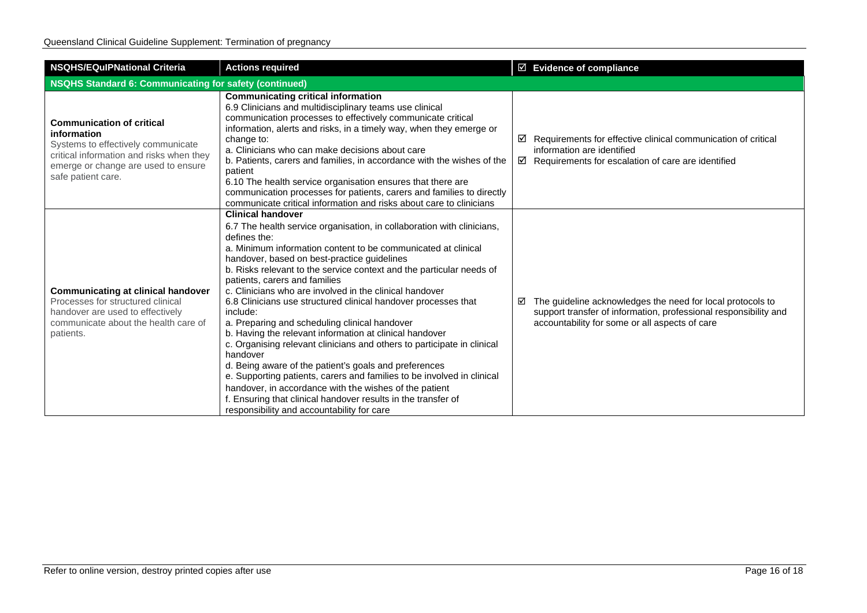| <b>NSQHS/EQulPNational Criteria</b>                                                                                                                                                            | <b>Actions required</b>                                                                                                                                                                                                                                                                                                                                                                                                                                                                                                                                                                                                                                                                                                                                                                                                                                                                                                                                                                             | $\boxtimes$ Evidence of compliance                                                                                                                                                    |  |  |
|------------------------------------------------------------------------------------------------------------------------------------------------------------------------------------------------|-----------------------------------------------------------------------------------------------------------------------------------------------------------------------------------------------------------------------------------------------------------------------------------------------------------------------------------------------------------------------------------------------------------------------------------------------------------------------------------------------------------------------------------------------------------------------------------------------------------------------------------------------------------------------------------------------------------------------------------------------------------------------------------------------------------------------------------------------------------------------------------------------------------------------------------------------------------------------------------------------------|---------------------------------------------------------------------------------------------------------------------------------------------------------------------------------------|--|--|
| NSQHS Standard 6: Communicating for safety (continued)                                                                                                                                         |                                                                                                                                                                                                                                                                                                                                                                                                                                                                                                                                                                                                                                                                                                                                                                                                                                                                                                                                                                                                     |                                                                                                                                                                                       |  |  |
| <b>Communication of critical</b><br>information<br>Systems to effectively communicate<br>critical information and risks when they<br>emerge or change are used to ensure<br>safe patient care. | <b>Communicating critical information</b><br>6.9 Clinicians and multidisciplinary teams use clinical<br>communication processes to effectively communicate critical<br>information, alerts and risks, in a timely way, when they emerge or<br>change to:<br>a. Clinicians who can make decisions about care<br>b. Patients, carers and families, in accordance with the wishes of the<br>patient<br>6.10 The health service organisation ensures that there are<br>communication processes for patients, carers and families to directly<br>communicate critical information and risks about care to clinicians                                                                                                                                                                                                                                                                                                                                                                                     | Requirements for effective clinical communication of critical<br>☑<br>information are identified<br>$\boxtimes$ Requirements for escalation of care are identified                    |  |  |
| <b>Communicating at clinical handover</b><br>Processes for structured clinical<br>handover are used to effectively<br>communicate about the health care of<br>patients.                        | <b>Clinical handover</b><br>6.7 The health service organisation, in collaboration with clinicians,<br>defines the:<br>a. Minimum information content to be communicated at clinical<br>handover, based on best-practice guidelines<br>b. Risks relevant to the service context and the particular needs of<br>patients, carers and families<br>c. Clinicians who are involved in the clinical handover<br>6.8 Clinicians use structured clinical handover processes that<br>include:<br>a. Preparing and scheduling clinical handover<br>b. Having the relevant information at clinical handover<br>c. Organising relevant clinicians and others to participate in clinical<br>handover<br>d. Being aware of the patient's goals and preferences<br>e. Supporting patients, carers and families to be involved in clinical<br>handover, in accordance with the wishes of the patient<br>f. Ensuring that clinical handover results in the transfer of<br>responsibility and accountability for care | The guideline acknowledges the need for local protocols to<br>☑<br>support transfer of information, professional responsibility and<br>accountability for some or all aspects of care |  |  |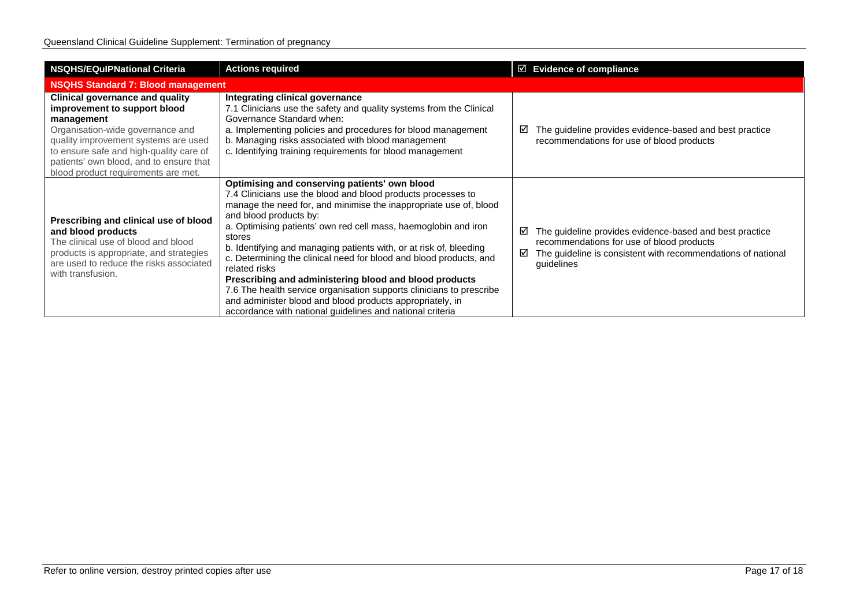| <b>NSQHS/EQulPNational Criteria</b>                                                                                                                                                                                                                                                           | <b>Actions required</b>                                                                                                                                                                                                                                                                                                                                                                                                                                                                                                                                                                                                                                                                                            |        | $\boxtimes$ Evidence of compliance                                                                                                                                                 |  |
|-----------------------------------------------------------------------------------------------------------------------------------------------------------------------------------------------------------------------------------------------------------------------------------------------|--------------------------------------------------------------------------------------------------------------------------------------------------------------------------------------------------------------------------------------------------------------------------------------------------------------------------------------------------------------------------------------------------------------------------------------------------------------------------------------------------------------------------------------------------------------------------------------------------------------------------------------------------------------------------------------------------------------------|--------|------------------------------------------------------------------------------------------------------------------------------------------------------------------------------------|--|
| <b>NSQHS Standard 7: Blood management</b>                                                                                                                                                                                                                                                     |                                                                                                                                                                                                                                                                                                                                                                                                                                                                                                                                                                                                                                                                                                                    |        |                                                                                                                                                                                    |  |
| <b>Clinical governance and quality</b><br>improvement to support blood<br>management<br>Organisation-wide governance and<br>quality improvement systems are used<br>to ensure safe and high-quality care of<br>patients' own blood, and to ensure that<br>blood product requirements are met. | Integrating clinical governance<br>7.1 Clinicians use the safety and quality systems from the Clinical<br>Governance Standard when:<br>a. Implementing policies and procedures for blood management<br>b. Managing risks associated with blood management<br>c. Identifying training requirements for blood management                                                                                                                                                                                                                                                                                                                                                                                             | ⊻      | The guideline provides evidence-based and best practice<br>recommendations for use of blood products                                                                               |  |
| Prescribing and clinical use of blood<br>and blood products<br>The clinical use of blood and blood<br>products is appropriate, and strategies<br>are used to reduce the risks associated<br>with transfusion.                                                                                 | Optimising and conserving patients' own blood<br>7.4 Clinicians use the blood and blood products processes to<br>manage the need for, and minimise the inappropriate use of, blood<br>and blood products by:<br>a. Optimising patients' own red cell mass, haemoglobin and iron<br>stores<br>b. Identifying and managing patients with, or at risk of, bleeding<br>c. Determining the clinical need for blood and blood products, and<br>related risks<br>Prescribing and administering blood and blood products<br>7.6 The health service organisation supports clinicians to prescribe<br>and administer blood and blood products appropriately, in<br>accordance with national guidelines and national criteria | ☑<br>☑ | The guideline provides evidence-based and best practice<br>recommendations for use of blood products<br>The guideline is consistent with recommendations of national<br>guidelines |  |